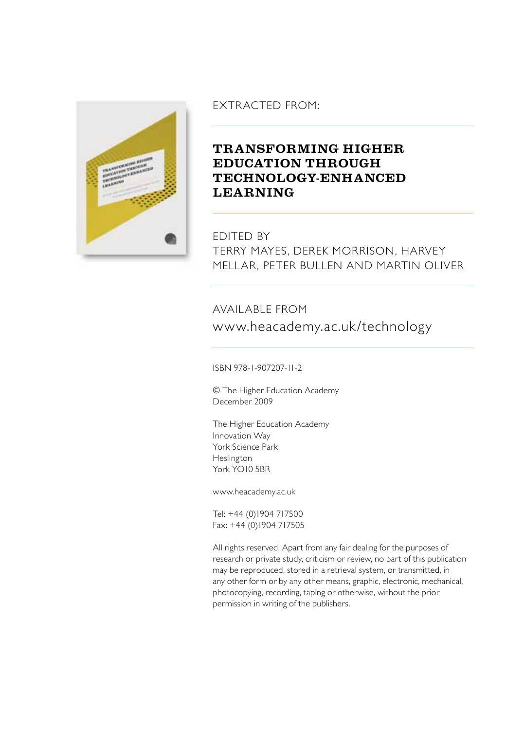

# Extracted from:

# **Transforming higher education through technology-enhanced learning**

Edited by Terry Mayes, Derek Morrison, Harvey Mellar, Peter Bullen and Martin Oliver

# Available from www.heacademy.ac.uk/technology

ISBN 978-1-907207-11-2

© The Higher Education Academy December 2009

The Higher Education Academy Innovation Way York Science Park Heslington York YO10 5BR

www.heacademy.ac.uk

Tel: +44 (0)1904 717500 Fax: +44 (0)1904 717505

All rights reserved. Apart from any fair dealing for the purposes of research or private study, criticism or review, no part of this publication may be reproduced, stored in a retrieval system, or transmitted, in any other form or by any other means, graphic, electronic, mechanical, photocopying, recording, taping or otherwise, without the prior permission in writing of the publishers.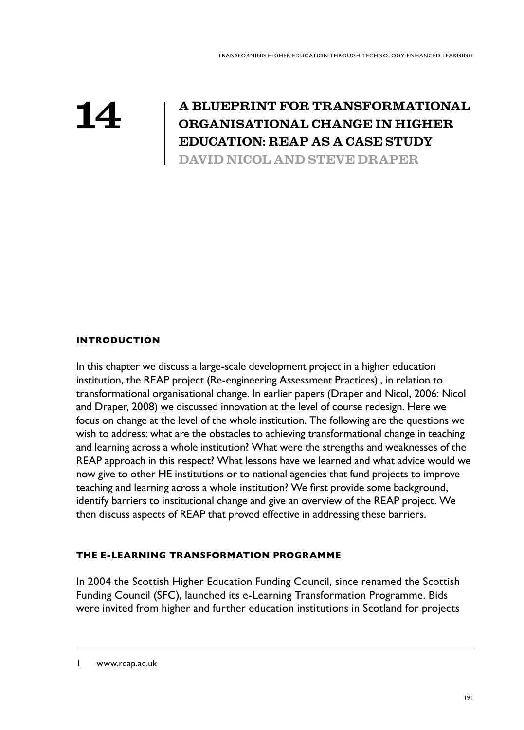# **14**

# **A blueprint for transformational organisational change in higher education: reap as a case study**

**David Nicol and Steve Draper**

# **Introduction**

In this chapter we discuss a large-scale development project in a higher education institution, the REAP project (Re-engineering Assessment Practices)<sup>1</sup>, in relation to transformational organisational change. In earlier papers (Draper and Nicol, 2006: Nicol and Draper, 2008) we discussed innovation at the level of course redesign. Here we focus on change at the level of the whole institution. The following are the questions we wish to address: what are the obstacles to achieving transformational change in teaching and learning across a whole institution? What were the strengths and weaknesses of the REAP approach in this respect? What lessons have we learned and what advice would we now give to other HE institutions or to national agencies that fund projects to improve teaching and learning across a whole institution? We first provide some background, identify barriers to institutional change and give an overview of the REAP project. We then discuss aspects of REAP that proved effective in addressing these barriers.

# **The e-learning Transformation Programme**

In 2004 the Scottish Higher Education Funding Council, since renamed the Scottish Funding Council (SFC), launched its e-Learning Transformation Programme. Bids were invited from higher and further education institutions in Scotland for projects

www.reap.ac.uk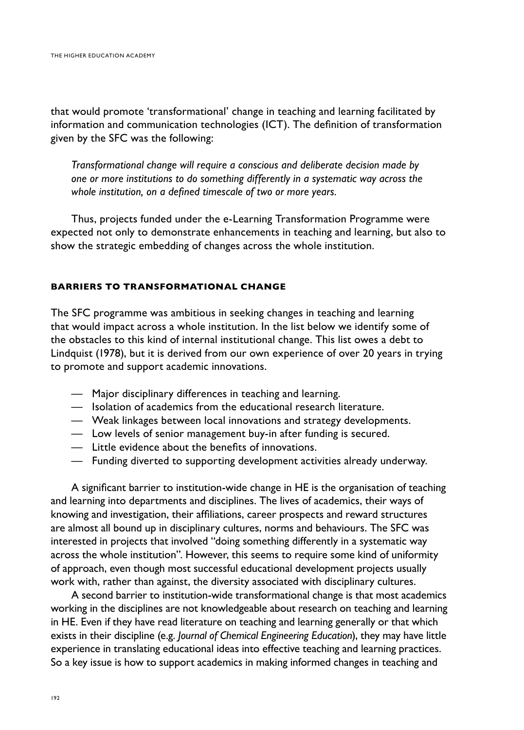that would promote 'transformational' change in teaching and learning facilitated by information and communication technologies (ICT). The definition of transformation given by the SFC was the following:

*Transformational change will require a conscious and deliberate decision made by one or more institutions to do something differently in a systematic way across the whole institution, on a defined timescale of two or more years.*

Thus, projects funded under the e-Learning Transformation Programme were expected not only to demonstrate enhancements in teaching and learning, but also to show the strategic embedding of changes across the whole institution.

# **Barriers to transformational change**

The SFC programme was ambitious in seeking changes in teaching and learning that would impact across a whole institution. In the list below we identify some of the obstacles to this kind of internal institutional change. This list owes a debt to Lindquist (1978), but it is derived from our own experience of over 20 years in trying to promote and support academic innovations.

- Major disciplinary differences in teaching and learning.
- Isolation of academics from the educational research literature.
- Weak linkages between local innovations and strategy developments.
- Low levels of senior management buy-in after funding is secured.
- Little evidence about the benefits of innovations.
- Funding diverted to supporting development activities already underway.

A significant barrier to institution-wide change in HE is the organisation of teaching and learning into departments and disciplines. The lives of academics, their ways of knowing and investigation, their affiliations, career prospects and reward structures are almost all bound up in disciplinary cultures, norms and behaviours. The SFC was interested in projects that involved "doing something differently in a systematic way across the whole institution". However, this seems to require some kind of uniformity of approach, even though most successful educational development projects usually work with, rather than against, the diversity associated with disciplinary cultures.

A second barrier to institution-wide transformational change is that most academics working in the disciplines are not knowledgeable about research on teaching and learning in HE. Even if they have read literature on teaching and learning generally or that which exists in their discipline (e.g. *Journal of Chemical Engineering Education*), they may have little experience in translating educational ideas into effective teaching and learning practices. So a key issue is how to support academics in making informed changes in teaching and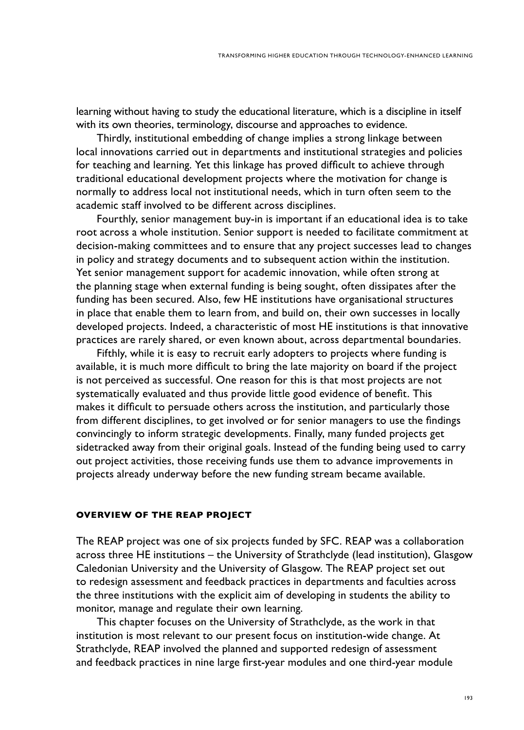learning without having to study the educational literature, which is a discipline in itself with its own theories, terminology, discourse and approaches to evidence.

Thirdly, institutional embedding of change implies a strong linkage between local innovations carried out in departments and institutional strategies and policies for teaching and learning. Yet this linkage has proved difficult to achieve through traditional educational development projects where the motivation for change is normally to address local not institutional needs, which in turn often seem to the academic staff involved to be different across disciplines.

Fourthly, senior management buy-in is important if an educational idea is to take root across a whole institution. Senior support is needed to facilitate commitment at decision-making committees and to ensure that any project successes lead to changes in policy and strategy documents and to subsequent action within the institution. Yet senior management support for academic innovation, while often strong at the planning stage when external funding is being sought, often dissipates after the funding has been secured. Also, few HE institutions have organisational structures in place that enable them to learn from, and build on, their own successes in locally developed projects. Indeed, a characteristic of most HE institutions is that innovative practices are rarely shared, or even known about, across departmental boundaries.

Fifthly, while it is easy to recruit early adopters to projects where funding is available, it is much more difficult to bring the late majority on board if the project is not perceived as successful. One reason for this is that most projects are not systematically evaluated and thus provide little good evidence of benefit. This makes it difficult to persuade others across the institution, and particularly those from different disciplines, to get involved or for senior managers to use the findings convincingly to inform strategic developments. Finally, many funded projects get sidetracked away from their original goals. Instead of the funding being used to carry out project activities, those receiving funds use them to advance improvements in projects already underway before the new funding stream became available.

#### **Overview of the REAP project**

The REAP project was one of six projects funded by SFC. REAP was a collaboration across three HE institutions – the University of Strathclyde (lead institution), Glasgow Caledonian University and the University of Glasgow. The REAP project set out to redesign assessment and feedback practices in departments and faculties across the three institutions with the explicit aim of developing in students the ability to monitor, manage and regulate their own learning.

This chapter focuses on the University of Strathclyde, as the work in that institution is most relevant to our present focus on institution-wide change. At Strathclyde, REAP involved the planned and supported redesign of assessment and feedback practices in nine large first-year modules and one third-year module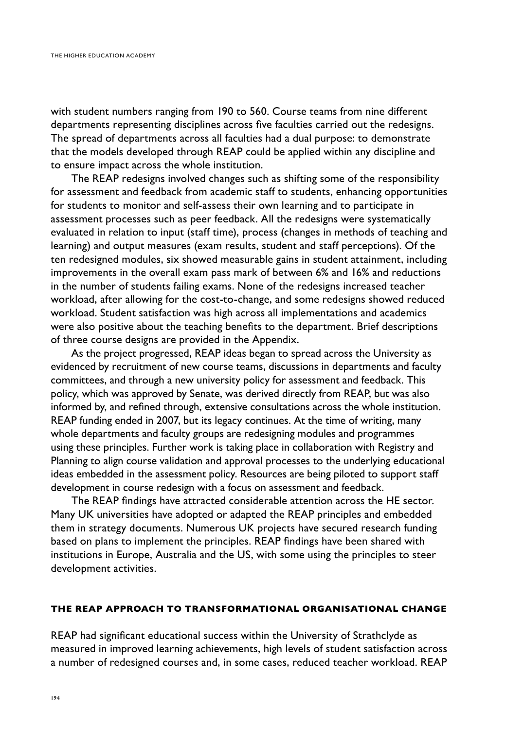with student numbers ranging from 190 to 560. Course teams from nine different departments representing disciplines across five faculties carried out the redesigns. The spread of departments across all faculties had a dual purpose: to demonstrate that the models developed through REAP could be applied within any discipline and to ensure impact across the whole institution.

The REAP redesigns involved changes such as shifting some of the responsibility for assessment and feedback from academic staff to students, enhancing opportunities for students to monitor and self-assess their own learning and to participate in assessment processes such as peer feedback. All the redesigns were systematically evaluated in relation to input (staff time), process (changes in methods of teaching and learning) and output measures (exam results, student and staff perceptions). Of the ten redesigned modules, six showed measurable gains in student attainment, including improvements in the overall exam pass mark of between 6% and 16% and reductions in the number of students failing exams. None of the redesigns increased teacher workload, after allowing for the cost-to-change, and some redesigns showed reduced workload. Student satisfaction was high across all implementations and academics were also positive about the teaching benefits to the department. Brief descriptions of three course designs are provided in the Appendix.

As the project progressed, REAP ideas began to spread across the University as evidenced by recruitment of new course teams, discussions in departments and faculty committees, and through a new university policy for assessment and feedback. This policy, which was approved by Senate, was derived directly from REAP, but was also informed by, and refined through, extensive consultations across the whole institution. REAP funding ended in 2007, but its legacy continues. At the time of writing, many whole departments and faculty groups are redesigning modules and programmes using these principles. Further work is taking place in collaboration with Registry and Planning to align course validation and approval processes to the underlying educational ideas embedded in the assessment policy. Resources are being piloted to support staff development in course redesign with a focus on assessment and feedback.

The REAP findings have attracted considerable attention across the HE sector. Many UK universities have adopted or adapted the REAP principles and embedded them in strategy documents. Numerous UK projects have secured research funding based on plans to implement the principles. REAP findings have been shared with institutions in Europe, Australia and the US, with some using the principles to steer development activities.

# **The REAP approach to transformational organisational change**

REAP had significant educational success within the University of Strathclyde as measured in improved learning achievements, high levels of student satisfaction across a number of redesigned courses and, in some cases, reduced teacher workload. REAP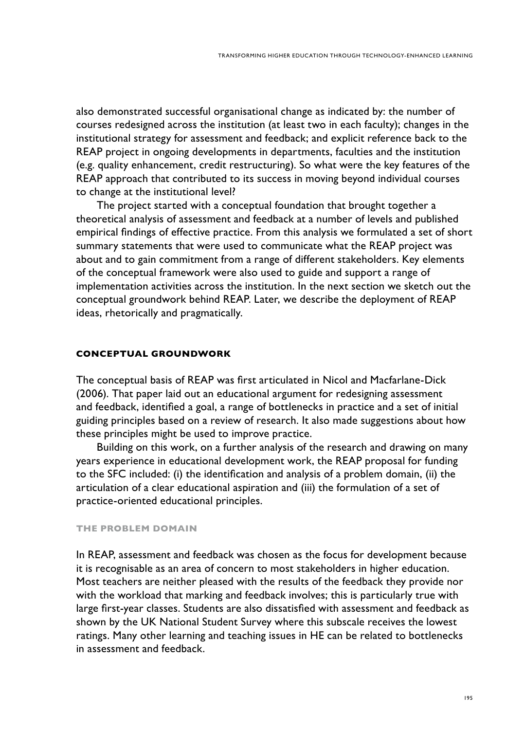also demonstrated successful organisational change as indicated by: the number of courses redesigned across the institution (at least two in each faculty); changes in the institutional strategy for assessment and feedback; and explicit reference back to the REAP project in ongoing developments in departments, faculties and the institution (e.g. quality enhancement, credit restructuring). So what were the key features of the REAP approach that contributed to its success in moving beyond individual courses to change at the institutional level?

The project started with a conceptual foundation that brought together a theoretical analysis of assessment and feedback at a number of levels and published empirical findings of effective practice. From this analysis we formulated a set of short summary statements that were used to communicate what the REAP project was about and to gain commitment from a range of different stakeholders. Key elements of the conceptual framework were also used to guide and support a range of implementation activities across the institution. In the next section we sketch out the conceptual groundwork behind REAP. Later, we describe the deployment of REAP ideas, rhetorically and pragmatically.

#### **Conceptual groundwork**

The conceptual basis of REAP was first articulated in Nicol and Macfarlane-Dick (2006). That paper laid out an educational argument for redesigning assessment and feedback, identified a goal, a range of bottlenecks in practice and a set of initial guiding principles based on a review of research. It also made suggestions about how these principles might be used to improve practice.

Building on this work, on a further analysis of the research and drawing on many years experience in educational development work, the REAP proposal for funding to the SFC included: (i) the identification and analysis of a problem domain, (ii) the articulation of a clear educational aspiration and (iii) the formulation of a set of practice-oriented educational principles.

#### **The problem domain**

In REAP, assessment and feedback was chosen as the focus for development because it is recognisable as an area of concern to most stakeholders in higher education. Most teachers are neither pleased with the results of the feedback they provide nor with the workload that marking and feedback involves; this is particularly true with large first-year classes. Students are also dissatisfied with assessment and feedback as shown by the UK National Student Survey where this subscale receives the lowest ratings. Many other learning and teaching issues in HE can be related to bottlenecks in assessment and feedback.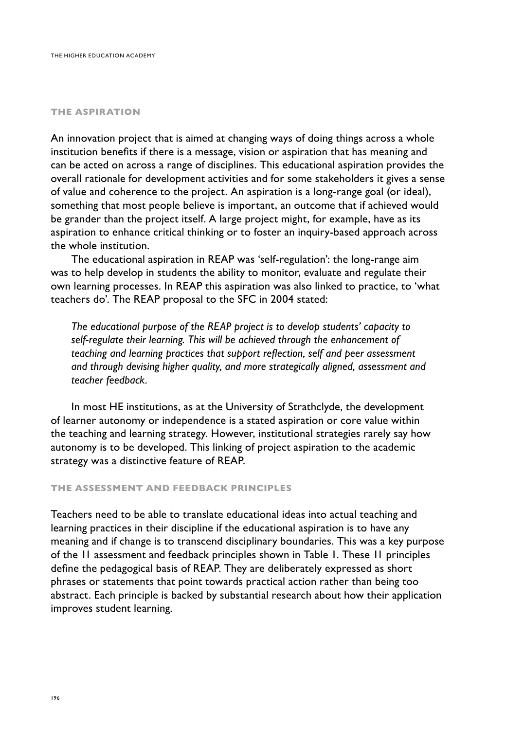#### **The aspiration**

An innovation project that is aimed at changing ways of doing things across a whole institution benefits if there is a message, vision or aspiration that has meaning and can be acted on across a range of disciplines. This educational aspiration provides the overall rationale for development activities and for some stakeholders it gives a sense of value and coherence to the project. An aspiration is a long-range goal (or ideal), something that most people believe is important, an outcome that if achieved would be grander than the project itself. A large project might, for example, have as its aspiration to enhance critical thinking or to foster an inquiry-based approach across the whole institution.

The educational aspiration in REAP was 'self-regulation': the long-range aim was to help develop in students the ability to monitor, evaluate and regulate their own learning processes. In REAP this aspiration was also linked to practice, to 'what teachers do'. The REAP proposal to the SFC in 2004 stated:

*The educational purpose of the REAP project is to develop students' capacity to self-regulate their learning. This will be achieved through the enhancement of teaching and learning practices that support reflection, self and peer assessment and through devising higher quality, and more strategically aligned, assessment and teacher feedback.* 

In most HE institutions, as at the University of Strathclyde, the development of learner autonomy or independence is a stated aspiration or core value within the teaching and learning strategy. However, institutional strategies rarely say how autonomy is to be developed. This linking of project aspiration to the academic strategy was a distinctive feature of REAP.

#### **The assessment and feedback principles**

Teachers need to be able to translate educational ideas into actual teaching and learning practices in their discipline if the educational aspiration is to have any meaning and if change is to transcend disciplinary boundaries. This was a key purpose of the 11 assessment and feedback principles shown in Table 1. These 11 principles define the pedagogical basis of REAP. They are deliberately expressed as short phrases or statements that point towards practical action rather than being too abstract. Each principle is backed by substantial research about how their application improves student learning.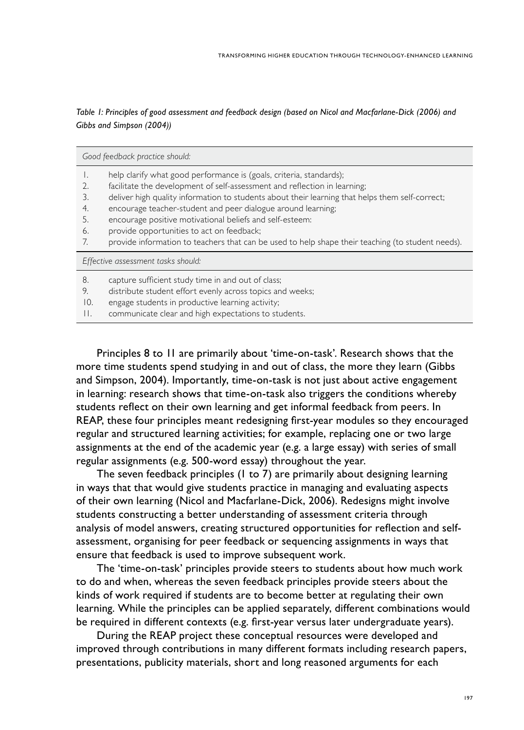*Table 1: Principles of good assessment and feedback design (based on Nicol and Macfarlane-Dick (2006) and Gibbs and Simpson (2004))*

| Good feedback practice should:     |                                                                                                   |  |
|------------------------------------|---------------------------------------------------------------------------------------------------|--|
| Ι.                                 | help clarify what good performance is (goals, criteria, standards);                               |  |
| 2.                                 | facilitate the development of self-assessment and reflection in learning;                         |  |
| 3.                                 | deliver high quality information to students about their learning that helps them self-correct;   |  |
| 4.                                 | encourage teacher-student and peer dialogue around learning;                                      |  |
| 5.                                 | encourage positive motivational beliefs and self-esteem:                                          |  |
| 6.                                 | provide opportunities to act on feedback;                                                         |  |
| 7.                                 | provide information to teachers that can be used to help shape their teaching (to student needs). |  |
| Effective assessment tasks should: |                                                                                                   |  |
| 8.                                 | capture sufficient study time in and out of class;                                                |  |
| 9.                                 | distribute student effort evenly across topics and weeks;                                         |  |
| 10.                                | engage students in productive learning activity;                                                  |  |
| Н.                                 | communicate clear and high expectations to students.                                              |  |

Principles 8 to 11 are primarily about 'time-on-task'. Research shows that the more time students spend studying in and out of class, the more they learn (Gibbs and Simpson, 2004). Importantly, time-on-task is not just about active engagement in learning: research shows that time-on-task also triggers the conditions whereby students reflect on their own learning and get informal feedback from peers. In REAP, these four principles meant redesigning first-year modules so they encouraged regular and structured learning activities; for example, replacing one or two large assignments at the end of the academic year (e.g. a large essay) with series of small regular assignments (e.g. 500-word essay) throughout the year.

The seven feedback principles (1 to 7) are primarily about designing learning in ways that that would give students practice in managing and evaluating aspects of their own learning (Nicol and Macfarlane-Dick, 2006). Redesigns might involve students constructing a better understanding of assessment criteria through analysis of model answers, creating structured opportunities for reflection and selfassessment, organising for peer feedback or sequencing assignments in ways that ensure that feedback is used to improve subsequent work.

The 'time-on-task' principles provide steers to students about how much work to do and when, whereas the seven feedback principles provide steers about the kinds of work required if students are to become better at regulating their own learning. While the principles can be applied separately, different combinations would be required in different contexts (e.g. first-year versus later undergraduate years).

During the REAP project these conceptual resources were developed and improved through contributions in many different formats including research papers, presentations, publicity materials, short and long reasoned arguments for each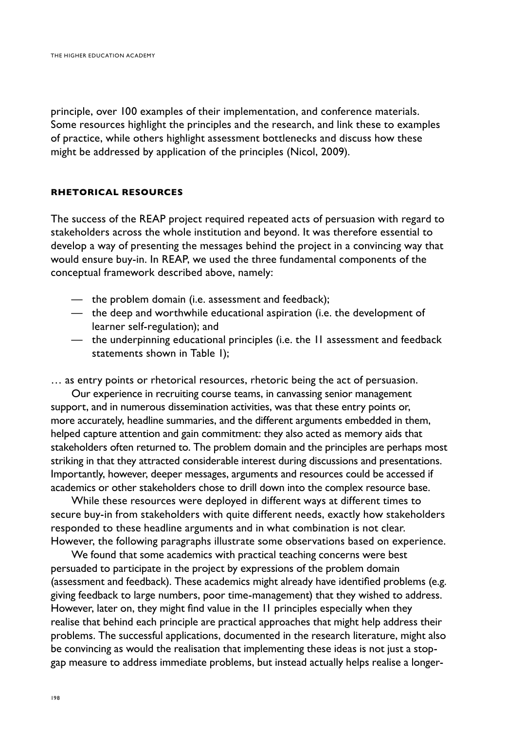principle, over 100 examples of their implementation, and conference materials. Some resources highlight the principles and the research, and link these to examples of practice, while others highlight assessment bottlenecks and discuss how these might be addressed by application of the principles (Nicol, 2009).

# **Rhetorical resources**

The success of the REAP project required repeated acts of persuasion with regard to stakeholders across the whole institution and beyond. It was therefore essential to develop a way of presenting the messages behind the project in a convincing way that would ensure buy-in. In REAP, we used the three fundamental components of the conceptual framework described above, namely:

- the problem domain (i.e. assessment and feedback);
- the deep and worthwhile educational aspiration (i.e. the development of learner self-regulation); and
- the underpinning educational principles (i.e. the 11 assessment and feedback statements shown in Table 1);

… as entry points or rhetorical resources, rhetoric being the act of persuasion.

Our experience in recruiting course teams, in canvassing senior management support, and in numerous dissemination activities, was that these entry points or, more accurately, headline summaries, and the different arguments embedded in them, helped capture attention and gain commitment: they also acted as memory aids that stakeholders often returned to. The problem domain and the principles are perhaps most striking in that they attracted considerable interest during discussions and presentations. Importantly, however, deeper messages, arguments and resources could be accessed if academics or other stakeholders chose to drill down into the complex resource base.

While these resources were deployed in different ways at different times to secure buy-in from stakeholders with quite different needs, exactly how stakeholders responded to these headline arguments and in what combination is not clear. However, the following paragraphs illustrate some observations based on experience.

We found that some academics with practical teaching concerns were best persuaded to participate in the project by expressions of the problem domain (assessment and feedback). These academics might already have identified problems (e.g. giving feedback to large numbers, poor time-management) that they wished to address. However, later on, they might find value in the 11 principles especially when they realise that behind each principle are practical approaches that might help address their problems. The successful applications, documented in the research literature, might also be convincing as would the realisation that implementing these ideas is not just a stopgap measure to address immediate problems, but instead actually helps realise a longer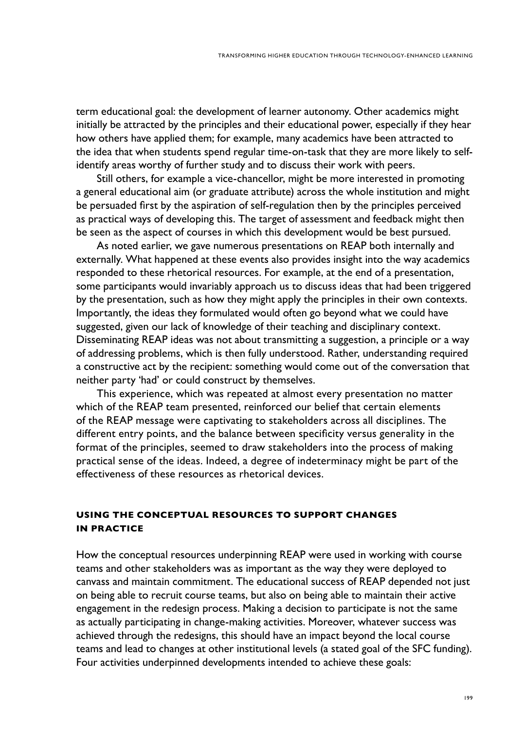term educational goal: the development of learner autonomy. Other academics might initially be attracted by the principles and their educational power, especially if they hear how others have applied them; for example, many academics have been attracted to the idea that when students spend regular time-on-task that they are more likely to selfidentify areas worthy of further study and to discuss their work with peers.

Still others, for example a vice-chancellor, might be more interested in promoting a general educational aim (or graduate attribute) across the whole institution and might be persuaded first by the aspiration of self-regulation then by the principles perceived as practical ways of developing this. The target of assessment and feedback might then be seen as the aspect of courses in which this development would be best pursued.

As noted earlier, we gave numerous presentations on REAP both internally and externally. What happened at these events also provides insight into the way academics responded to these rhetorical resources. For example, at the end of a presentation, some participants would invariably approach us to discuss ideas that had been triggered by the presentation, such as how they might apply the principles in their own contexts. Importantly, the ideas they formulated would often go beyond what we could have suggested, given our lack of knowledge of their teaching and disciplinary context. Disseminating REAP ideas was not about transmitting a suggestion, a principle or a way of addressing problems, which is then fully understood. Rather, understanding required a constructive act by the recipient: something would come out of the conversation that neither party 'had' or could construct by themselves.

This experience, which was repeated at almost every presentation no matter which of the REAP team presented, reinforced our belief that certain elements of the REAP message were captivating to stakeholders across all disciplines. The different entry points, and the balance between specificity versus generality in the format of the principles, seemed to draw stakeholders into the process of making practical sense of the ideas. Indeed, a degree of indeterminacy might be part of the effectiveness of these resources as rhetorical devices.

# **Using the conceptual resources to support changes in practice**

How the conceptual resources underpinning REAP were used in working with course teams and other stakeholders was as important as the way they were deployed to canvass and maintain commitment. The educational success of REAP depended not just on being able to recruit course teams, but also on being able to maintain their active engagement in the redesign process. Making a decision to participate is not the same as actually participating in change-making activities. Moreover, whatever success was achieved through the redesigns, this should have an impact beyond the local course teams and lead to changes at other institutional levels (a stated goal of the SFC funding). Four activities underpinned developments intended to achieve these goals: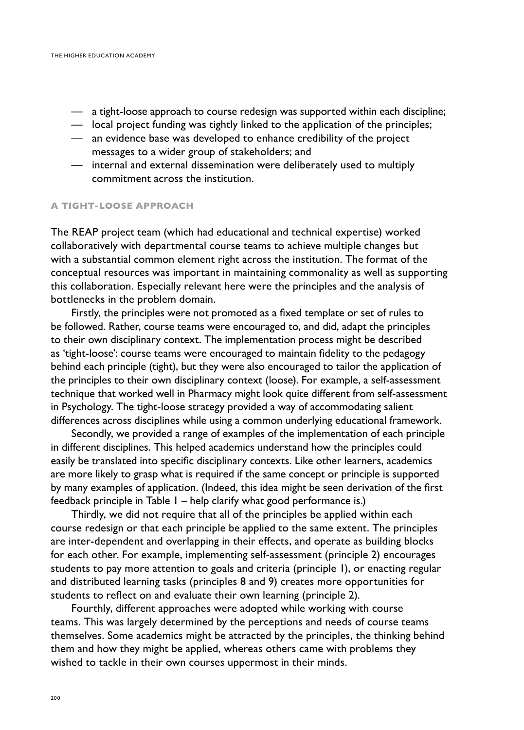- a tight-loose approach to course redesign was supported within each discipline;
- local project funding was tightly linked to the application of the principles;
- an evidence base was developed to enhance credibility of the project messages to a wider group of stakeholders; and
- internal and external dissemination were deliberately used to multiply commitment across the institution.

# **A tight-loose approach**

The REAP project team (which had educational and technical expertise) worked collaboratively with departmental course teams to achieve multiple changes but with a substantial common element right across the institution. The format of the conceptual resources was important in maintaining commonality as well as supporting this collaboration. Especially relevant here were the principles and the analysis of bottlenecks in the problem domain.

Firstly, the principles were not promoted as a fixed template or set of rules to be followed. Rather, course teams were encouraged to, and did, adapt the principles to their own disciplinary context. The implementation process might be described as 'tight-loose': course teams were encouraged to maintain fidelity to the pedagogy behind each principle (tight), but they were also encouraged to tailor the application of the principles to their own disciplinary context (loose). For example, a self-assessment technique that worked well in Pharmacy might look quite different from self-assessment in Psychology. The tight-loose strategy provided a way of accommodating salient differences across disciplines while using a common underlying educational framework.

Secondly, we provided a range of examples of the implementation of each principle in different disciplines. This helped academics understand how the principles could easily be translated into specific disciplinary contexts. Like other learners, academics are more likely to grasp what is required if the same concept or principle is supported by many examples of application. (Indeed, this idea might be seen derivation of the first feedback principle in Table 1 – help clarify what good performance is.)

Thirdly, we did not require that all of the principles be applied within each course redesign or that each principle be applied to the same extent. The principles are inter-dependent and overlapping in their effects, and operate as building blocks for each other. For example, implementing self-assessment (principle 2) encourages students to pay more attention to goals and criteria (principle 1), or enacting regular and distributed learning tasks (principles 8 and 9) creates more opportunities for students to reflect on and evaluate their own learning (principle 2).

Fourthly, different approaches were adopted while working with course teams. This was largely determined by the perceptions and needs of course teams themselves. Some academics might be attracted by the principles, the thinking behind them and how they might be applied, whereas others came with problems they wished to tackle in their own courses uppermost in their minds.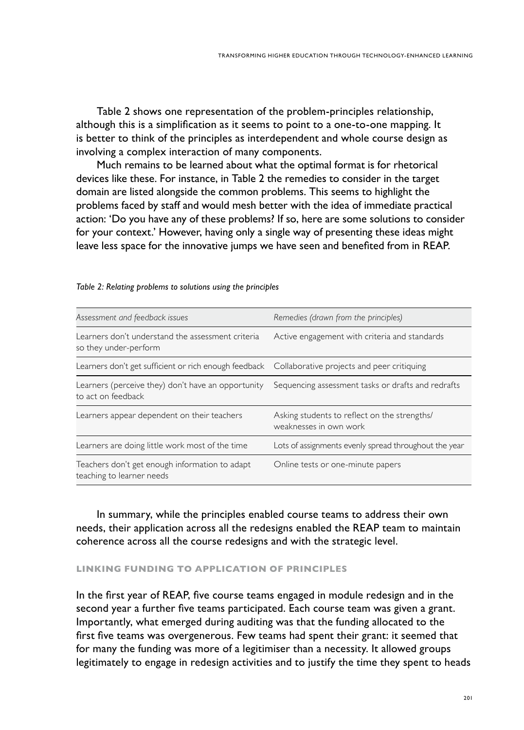Table 2 shows one representation of the problem-principles relationship, although this is a simplification as it seems to point to a one-to-one mapping. It is better to think of the principles as interdependent and whole course design as involving a complex interaction of many components.

Much remains to be learned about what the optimal format is for rhetorical devices like these. For instance, in Table 2 the remedies to consider in the target domain are listed alongside the common problems. This seems to highlight the problems faced by staff and would mesh better with the idea of immediate practical action: 'Do you have any of these problems? If so, here are some solutions to consider for your context.' However, having only a single way of presenting these ideas might leave less space for the innovative jumps we have seen and benefited from in REAP.

| Assessment and feedback issues                                                                   | Remedies (drawn from the principles)                                   |
|--------------------------------------------------------------------------------------------------|------------------------------------------------------------------------|
| Learners don't understand the assessment criteria<br>so they under-perform                       | Active engagement with criteria and standards                          |
| Learners don't get sufficient or rich enough feedback Collaborative projects and peer critiquing |                                                                        |
| Learners (perceive they) don't have an opportunity<br>to act on feedback                         | Sequencing assessment tasks or drafts and redrafts                     |
| Learners appear dependent on their teachers                                                      | Asking students to reflect on the strengths/<br>weaknesses in own work |
| Learners are doing little work most of the time                                                  | Lots of assignments evenly spread throughout the year                  |
| Teachers don't get enough information to adapt<br>teaching to learner needs                      | Online tests or one-minute papers                                      |

*Table 2: Relating problems to solutions using the principles*

In summary, while the principles enabled course teams to address their own needs, their application across all the redesigns enabled the REAP team to maintain coherence across all the course redesigns and with the strategic level.

#### **Linking funding to application of principles**

In the first year of REAP, five course teams engaged in module redesign and in the second year a further five teams participated. Each course team was given a grant. Importantly, what emerged during auditing was that the funding allocated to the first five teams was overgenerous. Few teams had spent their grant: it seemed that for many the funding was more of a legitimiser than a necessity. It allowed groups legitimately to engage in redesign activities and to justify the time they spent to heads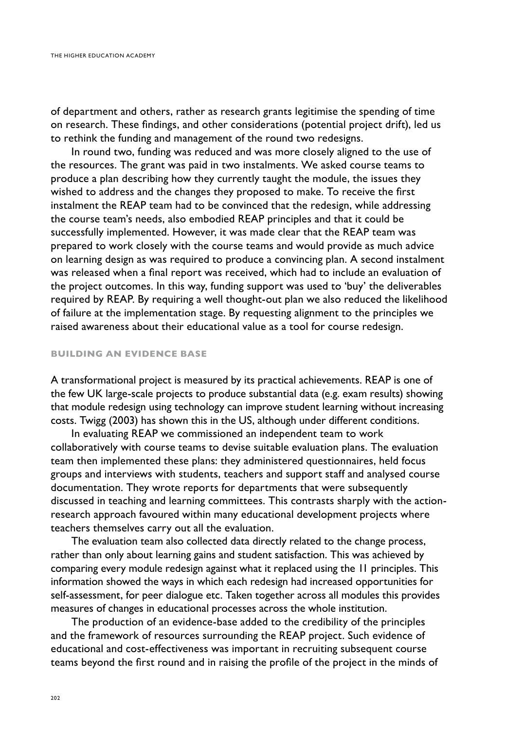of department and others, rather as research grants legitimise the spending of time on research. These findings, and other considerations (potential project drift), led us to rethink the funding and management of the round two redesigns.

In round two, funding was reduced and was more closely aligned to the use of the resources. The grant was paid in two instalments. We asked course teams to produce a plan describing how they currently taught the module, the issues they wished to address and the changes they proposed to make. To receive the first instalment the REAP team had to be convinced that the redesign, while addressing the course team's needs, also embodied REAP principles and that it could be successfully implemented. However, it was made clear that the REAP team was prepared to work closely with the course teams and would provide as much advice on learning design as was required to produce a convincing plan. A second instalment was released when a final report was received, which had to include an evaluation of the project outcomes. In this way, funding support was used to 'buy' the deliverables required by REAP. By requiring a well thought-out plan we also reduced the likelihood of failure at the implementation stage. By requesting alignment to the principles we raised awareness about their educational value as a tool for course redesign.

#### **Building an evidence base**

A transformational project is measured by its practical achievements. REAP is one of the few UK large-scale projects to produce substantial data (e.g. exam results) showing that module redesign using technology can improve student learning without increasing costs. Twigg (2003) has shown this in the US, although under different conditions.

In evaluating REAP we commissioned an independent team to work collaboratively with course teams to devise suitable evaluation plans. The evaluation team then implemented these plans: they administered questionnaires, held focus groups and interviews with students, teachers and support staff and analysed course documentation. They wrote reports for departments that were subsequently discussed in teaching and learning committees. This contrasts sharply with the actionresearch approach favoured within many educational development projects where teachers themselves carry out all the evaluation.

The evaluation team also collected data directly related to the change process, rather than only about learning gains and student satisfaction. This was achieved by comparing every module redesign against what it replaced using the 11 principles. This information showed the ways in which each redesign had increased opportunities for self-assessment, for peer dialogue etc. Taken together across all modules this provides measures of changes in educational processes across the whole institution.

The production of an evidence-base added to the credibility of the principles and the framework of resources surrounding the REAP project. Such evidence of educational and cost-effectiveness was important in recruiting subsequent course teams beyond the first round and in raising the profile of the project in the minds of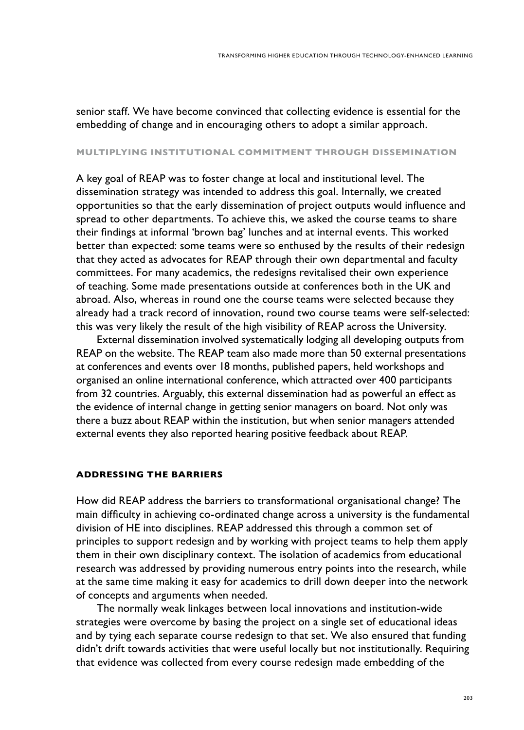senior staff. We have become convinced that collecting evidence is essential for the embedding of change and in encouraging others to adopt a similar approach.

# **Multiplying institutional commitment through dissemination**

A key goal of REAP was to foster change at local and institutional level. The dissemination strategy was intended to address this goal. Internally, we created opportunities so that the early dissemination of project outputs would influence and spread to other departments. To achieve this, we asked the course teams to share their findings at informal 'brown bag' lunches and at internal events. This worked better than expected: some teams were so enthused by the results of their redesign that they acted as advocates for REAP through their own departmental and faculty committees. For many academics, the redesigns revitalised their own experience of teaching. Some made presentations outside at conferences both in the UK and abroad. Also, whereas in round one the course teams were selected because they already had a track record of innovation, round two course teams were self-selected: this was very likely the result of the high visibility of REAP across the University.

External dissemination involved systematically lodging all developing outputs from REAP on the website. The REAP team also made more than 50 external presentations at conferences and events over 18 months, published papers, held workshops and organised an online international conference, which attracted over 400 participants from 32 countries. Arguably, this external dissemination had as powerful an effect as the evidence of internal change in getting senior managers on board. Not only was there a buzz about REAP within the institution, but when senior managers attended external events they also reported hearing positive feedback about REAP.

#### **Addressing the barriers**

How did REAP address the barriers to transformational organisational change? The main difficulty in achieving co-ordinated change across a university is the fundamental division of HE into disciplines. REAP addressed this through a common set of principles to support redesign and by working with project teams to help them apply them in their own disciplinary context. The isolation of academics from educational research was addressed by providing numerous entry points into the research, while at the same time making it easy for academics to drill down deeper into the network of concepts and arguments when needed.

The normally weak linkages between local innovations and institution-wide strategies were overcome by basing the project on a single set of educational ideas and by tying each separate course redesign to that set. We also ensured that funding didn't drift towards activities that were useful locally but not institutionally. Requiring that evidence was collected from every course redesign made embedding of the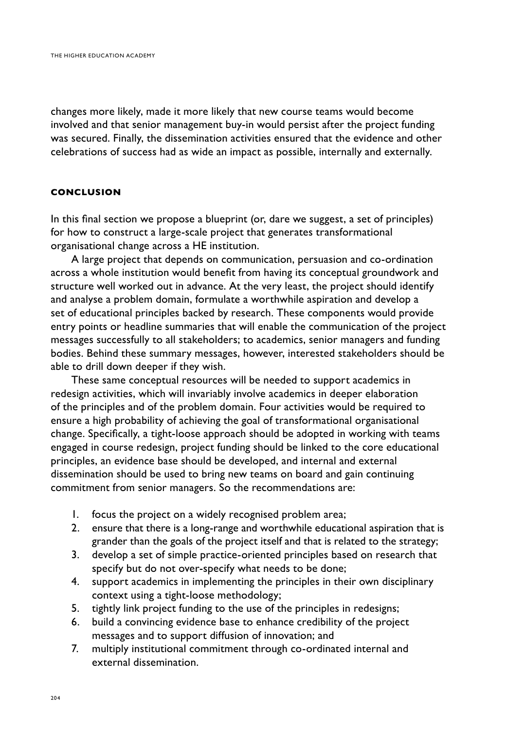changes more likely, made it more likely that new course teams would become involved and that senior management buy-in would persist after the project funding was secured. Finally, the dissemination activities ensured that the evidence and other celebrations of success had as wide an impact as possible, internally and externally.

# **Conclusion**

In this final section we propose a blueprint (or, dare we suggest, a set of principles) for how to construct a large-scale project that generates transformational organisational change across a HE institution.

A large project that depends on communication, persuasion and co-ordination across a whole institution would benefit from having its conceptual groundwork and structure well worked out in advance. At the very least, the project should identify and analyse a problem domain, formulate a worthwhile aspiration and develop a set of educational principles backed by research. These components would provide entry points or headline summaries that will enable the communication of the project messages successfully to all stakeholders; to academics, senior managers and funding bodies. Behind these summary messages, however, interested stakeholders should be able to drill down deeper if they wish.

These same conceptual resources will be needed to support academics in redesign activities, which will invariably involve academics in deeper elaboration of the principles and of the problem domain. Four activities would be required to ensure a high probability of achieving the goal of transformational organisational change. Specifically, a tight-loose approach should be adopted in working with teams engaged in course redesign, project funding should be linked to the core educational principles, an evidence base should be developed, and internal and external dissemination should be used to bring new teams on board and gain continuing commitment from senior managers. So the recommendations are:

- 1. focus the project on a widely recognised problem area;
- 2. ensure that there is a long-range and worthwhile educational aspiration that is grander than the goals of the project itself and that is related to the strategy;
- 3. develop a set of simple practice-oriented principles based on research that specify but do not over-specify what needs to be done;
- 4. support academics in implementing the principles in their own disciplinary context using a tight-loose methodology;
- 5. tightly link project funding to the use of the principles in redesigns;
- 6. build a convincing evidence base to enhance credibility of the project messages and to support diffusion of innovation; and
- 7. multiply institutional commitment through co-ordinated internal and external dissemination.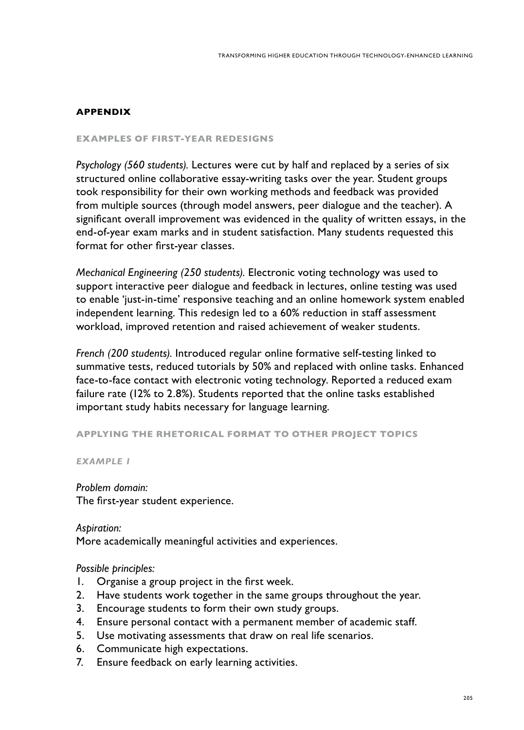# **APPENDIX**

#### **EXAMPLES OF FIRST-YEAR REDESIGNS**

*Psychology (560 students).* Lectures were cut by half and replaced by a series of six structured online collaborative essay-writing tasks over the year. Student groups took responsibility for their own working methods and feedback was provided from multiple sources (through model answers, peer dialogue and the teacher). A significant overall improvement was evidenced in the quality of written essays, in the end-of-year exam marks and in student satisfaction. Many students requested this format for other first-year classes.

*Mechanical Engineering (250 students).* Electronic voting technology was used to support interactive peer dialogue and feedback in lectures, online testing was used to enable 'just-in-time' responsive teaching and an online homework system enabled independent learning. This redesign led to a 60% reduction in staff assessment workload, improved retention and raised achievement of weaker students.

*French (200 students).* Introduced regular online formative self-testing linked to summative tests, reduced tutorials by 50% and replaced with online tasks. Enhanced face-to-face contact with electronic voting technology. Reported a reduced exam failure rate (12% to 2.8%). Students reported that the online tasks established important study habits necessary for language learning.

#### **APPLYING THE RHETORICAL FORMAT TO OTHER PROJECT TOPICS**

*Example 1*

*Problem domain:*  The first-year student experience.

*Aspiration:*  More academically meaningful activities and experiences.

# *Possible principles:*

- 1. Organise a group project in the first week.
- 2. Have students work together in the same groups throughout the year.
- 3. Encourage students to form their own study groups.
- 4. Ensure personal contact with a permanent member of academic staff.
- 5. Use motivating assessments that draw on real life scenarios.
- 6. Communicate high expectations.
- 7. Ensure feedback on early learning activities.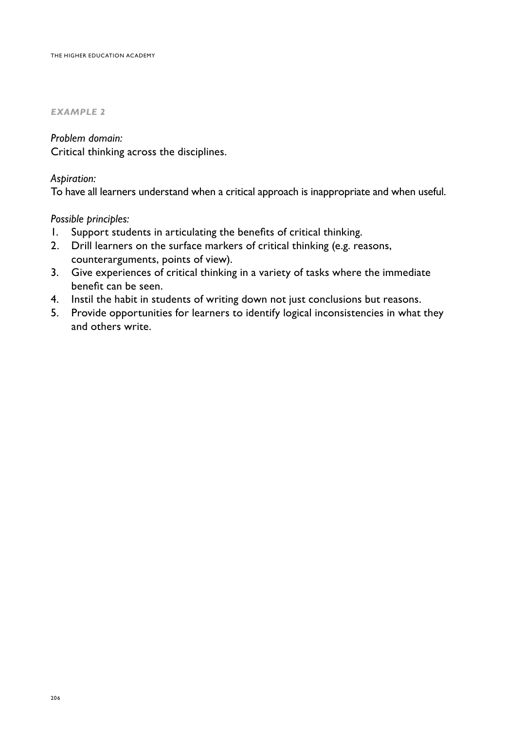#### *Example 2*

# *Problem domain:*

Critical thinking across the disciplines.

# *Aspiration:*

To have all learners understand when a critical approach is inappropriate and when useful.

# *Possible principles:*

- 1. Support students in articulating the benefits of critical thinking.
- 2. Drill learners on the surface markers of critical thinking (e.g. reasons, counterarguments, points of view).
- 3. Give experiences of critical thinking in a variety of tasks where the immediate benefit can be seen.
- 4. Instil the habit in students of writing down not just conclusions but reasons.
- 5. Provide opportunities for learners to identify logical inconsistencies in what they and others write.